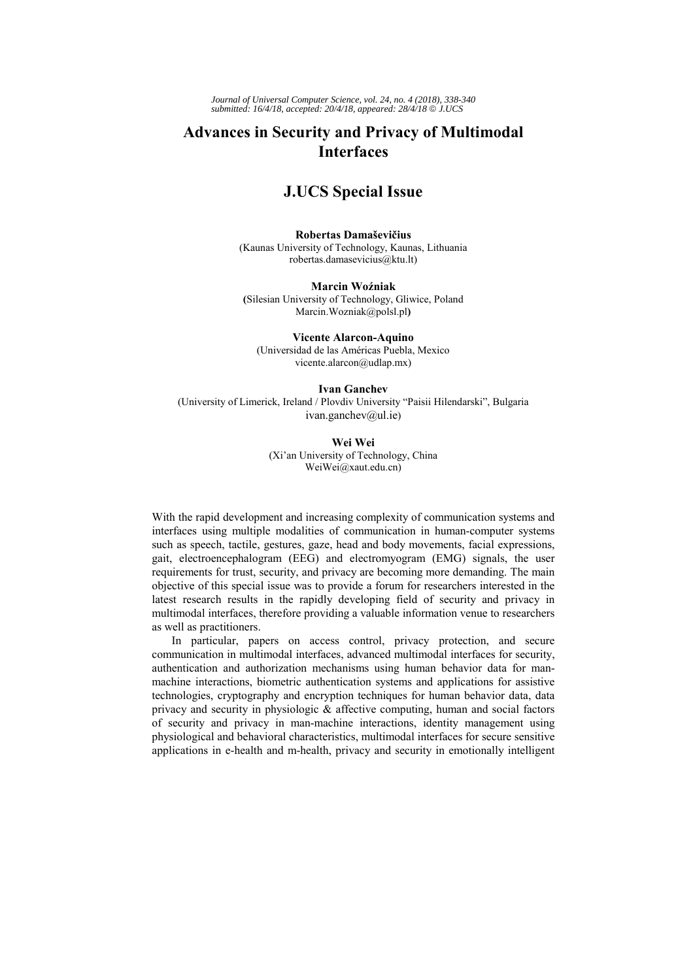*Journal of Universal Computer Science, vol. 24, no. 4 (2018), 338-340 submitted: 16/4/18, accepted: 20/4/18, appeared: 28/4/18* © *J.UCS*

## **Advances in Security and Privacy of Multimodal Interfaces**

## **J.UCS Special Issue**

**Robertas Damaševičius**  (Kaunas University of Technology, Kaunas, Lithuania robertas.damasevicius@ktu.lt)

**Marcin Woźniak (**Silesian University of Technology, Gliwice, Poland Marcin.Wozniak@polsl.pl**)**

**Vicente Alarcon-Aquino** (Universidad de las Américas Puebla, Mexico vicente.alarcon@udlap.mx)

**Ivan Ganchev** (University of Limerick, Ireland / Plovdiv University "Paisii Hilendarski", Bulgaria

ivan.ganchev@ul.ie)

**Wei Wei** (Xi'an University of Technology, China WeiWei@xaut.edu.cn)

With the rapid development and increasing complexity of communication systems and interfaces using multiple modalities of communication in human-computer systems such as speech, tactile, gestures, gaze, head and body movements, facial expressions, gait, electroencephalogram (EEG) and electromyogram (EMG) signals, the user requirements for trust, security, and privacy are becoming more demanding. The main objective of this special issue was to provide a forum for researchers interested in the latest research results in the rapidly developing field of security and privacy in multimodal interfaces, therefore providing a valuable information venue to researchers as well as practitioners.

In particular, papers on access control, privacy protection, and secure communication in multimodal interfaces, advanced multimodal interfaces for security, authentication and authorization mechanisms using human behavior data for manmachine interactions, biometric authentication systems and applications for assistive technologies, cryptography and encryption techniques for human behavior data, data privacy and security in physiologic  $\&$  affective computing, human and social factors of security and privacy in man-machine interactions, identity management using physiological and behavioral characteristics, multimodal interfaces for secure sensitive applications in e-health and m-health, privacy and security in emotionally intelligent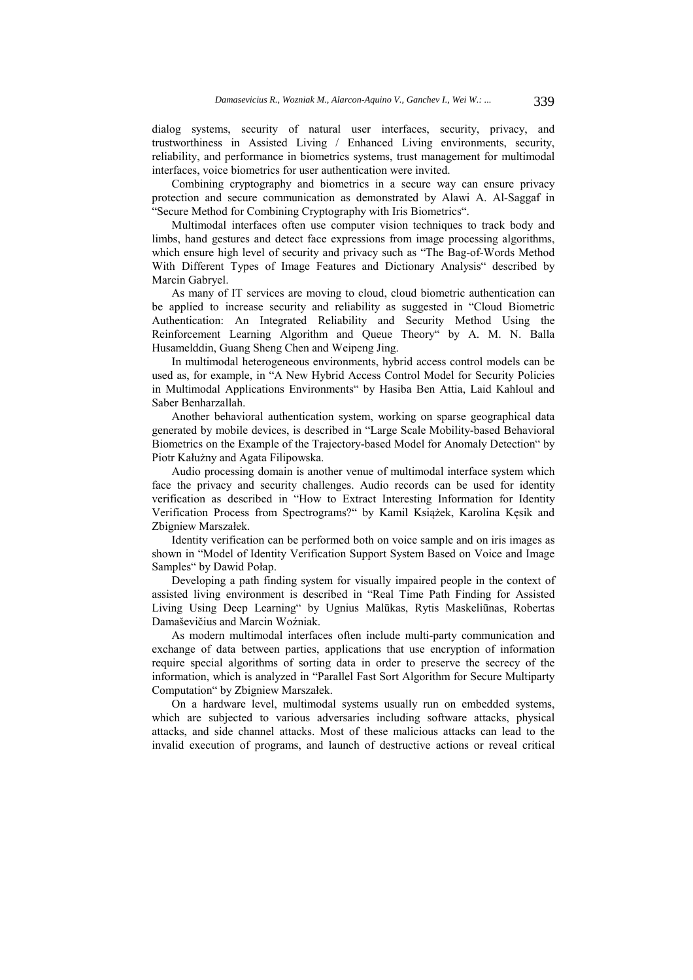dialog systems, security of natural user interfaces, security, privacy, and trustworthiness in Assisted Living / Enhanced Living environments, security, reliability, and performance in biometrics systems, trust management for multimodal interfaces, voice biometrics for user authentication were invited.

Combining cryptography and biometrics in a secure way can ensure privacy protection and secure communication as demonstrated by Alawi A. Al-Saggaf in "Secure Method for Combining Cryptography with Iris Biometrics".

Multimodal interfaces often use computer vision techniques to track body and limbs, hand gestures and detect face expressions from image processing algorithms, which ensure high level of security and privacy such as "The Bag-of-Words Method With Different Types of Image Features and Dictionary Analysis" described by Marcin Gabryel.

As many of IT services are moving to cloud, cloud biometric authentication can be applied to increase security and reliability as suggested in "Cloud Biometric Authentication: An Integrated Reliability and Security Method Using the Reinforcement Learning Algorithm and Queue Theory" by A. M. N. Balla Husamelddin, Guang Sheng Chen and Weipeng Jing.

In multimodal heterogeneous environments, hybrid access control models can be used as, for example, in "A New Hybrid Access Control Model for Security Policies in Multimodal Applications Environments" by Hasiba Ben Attia, Laid Kahloul and Saber Benharzallah.

Another behavioral authentication system, working on sparse geographical data generated by mobile devices, is described in "Large Scale Mobility-based Behavioral Biometrics on the Example of the Trajectory-based Model for Anomaly Detection" by Piotr Kałużny and Agata Filipowska.

Audio processing domain is another venue of multimodal interface system which face the privacy and security challenges. Audio records can be used for identity verification as described in "How to Extract Interesting Information for Identity Verification Process from Spectrograms?" by Kamil Książek, Karolina Kęsik and Zbigniew Marszałek.

Identity verification can be performed both on voice sample and on iris images as shown in "Model of Identity Verification Support System Based on Voice and Image Samples" by Dawid Połap.

Developing a path finding system for visually impaired people in the context of assisted living environment is described in "Real Time Path Finding for Assisted Living Using Deep Learning" by Ugnius Malūkas, Rytis Maskeliūnas, Robertas Damaševičius and Marcin Woźniak.

As modern multimodal interfaces often include multi-party communication and exchange of data between parties, applications that use encryption of information require special algorithms of sorting data in order to preserve the secrecy of the information, which is analyzed in "Parallel Fast Sort Algorithm for Secure Multiparty Computation" by Zbigniew Marszałek.

On a hardware level, multimodal systems usually run on embedded systems, which are subjected to various adversaries including software attacks, physical attacks, and side channel attacks. Most of these malicious attacks can lead to the invalid execution of programs, and launch of destructive actions or reveal critical